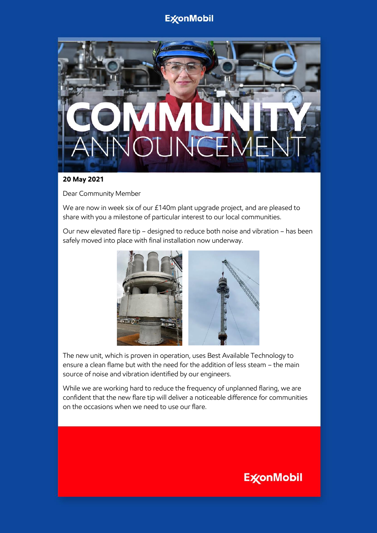## **ExconMobil**



#### **20 May 2021**

Dear Community Member

We are now in week six of our £140m plant upgrade project, and are pleased to share with you a milestone of particular interest to our local communities.

Our new elevated flare tip – designed to reduce both noise and vibration – has been safely moved into place with final installation now underway.



The new unit, which is proven in operation, uses Best Available Technology to ensure a clean flame but with the need for the addition of less steam – the main source of noise and vibration identified by our engineers.

While we are working hard to reduce the frequency of unplanned flaring, we are confident that the new flare tip will deliver a noticeable difference for communities on the occasions when we need to use our flare.

# **ExconMobil**